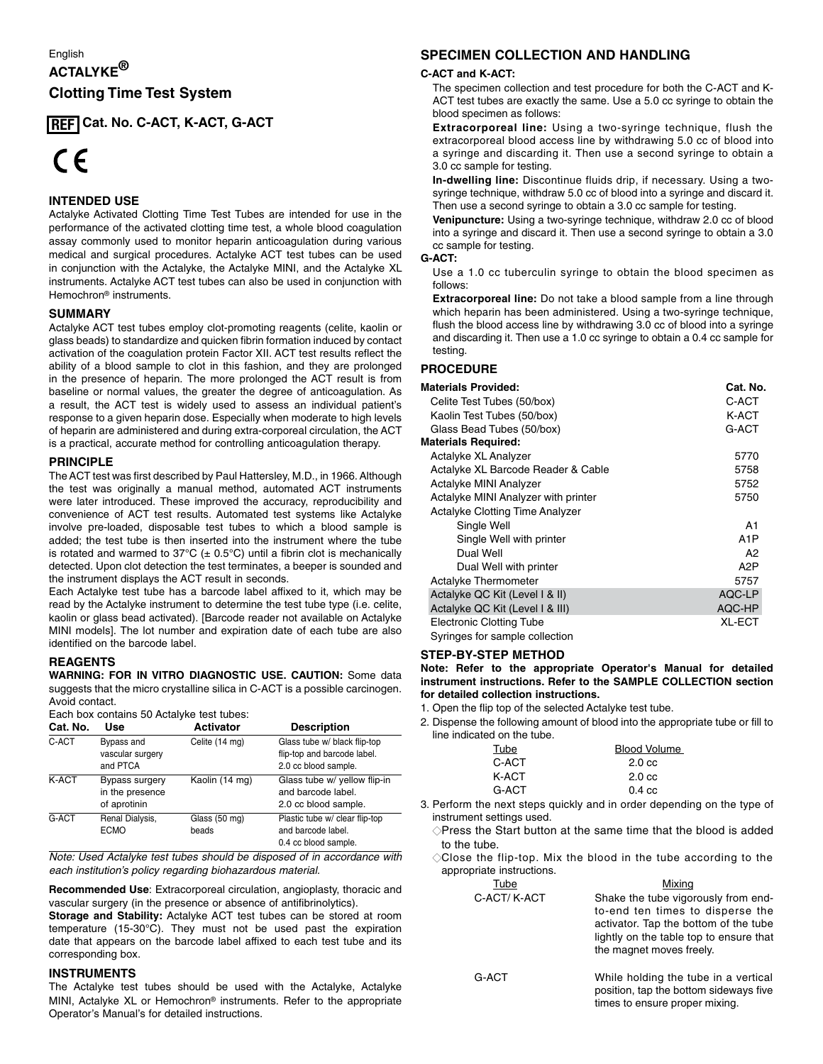# English **ACTALYKE® Clotting Time Test System**

**Cat. No. C-ACT, K-ACT, G-ACT REF**

# $\epsilon$

# **INTENDED USE**

Actalyke Activated Clotting Time Test Tubes are intended for use in the **<sup>0086</sup> 0086** performance of the activated clotting time test, a whole blood coagulation assay commonly used to monitor heparin anticoagulation during various medical and surgical procedures. Actalyke ACT test tubes can be used in conjunction with the Actalyke, the Actalyke MINI, and the Actalyke XL instruments. Actalyke ACT test tubes can also be used in conjunction with Hemochron® instruments.

# **SUMMARY**

Actalyke ACT test tubes employ clot-promoting reagents (celite, kaolin or glass beads) to standardize and quicken fibrin formation induced by contact activation of the coagulation protein Factor XII. ACT test results reflect the ability of a blood sample to clot in this fashion, and they are prolonged in the presence of heparin. The more prolonged the ACT result is from baseline or normal values, the greater the degree of anticoagulation. As a result, the ACT test is widely used to assess an individual patient's response to a given heparin dose. Especially when moderate to high levels of heparin are administered and during extra-corporeal circulation, the ACT is a practical, accurate method for controlling anticoagulation therapy.

# **PRINCIPLE**

The ACT test was first described by Paul Hattersley, M.D., in 1966. Although the test was originally a manual method, automated ACT instruments were later introduced. These improved the accuracy, reproducibility and convenience of ACT test results. Automated test systems like Actalyke involve pre-loaded, disposable test tubes to which a blood sample is added; the test tube is then inserted into the instrument where the tube is rotated and warmed to  $37^{\circ}C$  ( $\pm$  0.5°C) until a fibrin clot is mechanically detected. Upon clot detection the test terminates, a beeper is sounded and the instrument displays the ACT result in seconds.

Each Actalyke test tube has a barcode label affixed to it, which may be read by the Actalyke instrument to determine the test tube type (i.e. celite, kaolin or glass bead activated). [Barcode reader not available on Actalyke MINI models]. The lot number and expiration date of each tube are also identified on the barcode label.

# **REAGENTS**

**WARNING: FOR IN VITRO DIAGNOSTIC USE. CAUTION:** Some data suggests that the micro crystalline silica in C-ACT is a possible carcinogen. Avoid contact.

|        |                 | Each box contains 50 Actalyke test tubes: |           |
|--------|-----------------|-------------------------------------------|-----------|
| Cot No | II <sub>0</sub> |                                           | Activator |

| Cat. No. | Use                                               | <b>Activator</b>       | <b>Description</b>                                                                  |
|----------|---------------------------------------------------|------------------------|-------------------------------------------------------------------------------------|
| C-ACT    | Bypass and<br>vascular surgery<br>and PTCA        | Celite (14 mg)         | Glass tube w/ black flip-top<br>flip-top and barcode label.<br>2.0 cc blood sample. |
| K-ACT    | Bypass surgery<br>in the presence<br>of aprotinin | Kaolin (14 mg)         | Glass tube w/ yellow flip-in<br>and barcode label.<br>2.0 cc blood sample.          |
| G-ACT    | Renal Dialysis,<br><b>ECMO</b>                    | Glass (50 mg)<br>beads | Plastic tube w/ clear flip-top<br>and barcode label.<br>0.4 cc blood sample.        |

*Note: Used Actalyke test tubes should be disposed of in accordance with each institution's policy regarding biohazardous material.*

**Recommended Use**: Extracorporeal circulation, angioplasty, thoracic and vascular surgery (in the presence or absence of antifibrinolytics).

**Storage and Stability:** Actalyke ACT test tubes can be stored at room temperature (15-30°C). They must not be used past the expiration date that appears on the barcode label affixed to each test tube and its corresponding box.

# **INSTRUMENTS**

The Actalyke test tubes should be used with the Actalyke, Actalyke MINI, Actalyke XL or Hemochron® instruments. Refer to the appropriate Operator's Manual's for detailed instructions.

# **SPECIMEN COLLECTION AND HANDLING**

#### **C-ACT and K-ACT:**

 The specimen collection and test procedure for both the C-ACT and K-ACT test tubes are exactly the same. Use a 5.0 cc syringe to obtain the blood specimen as follows:

 **Extracorporeal line:** Using a two-syringe technique, flush the extracorporeal blood access line by withdrawing 5.0 cc of blood into a syringe and discarding it. Then use a second syringe to obtain a 3.0 cc sample for testing.

 **In-dwelling line:** Discontinue fluids drip, if necessary. Using a twosyringe technique, withdraw 5.0 cc of blood into a syringe and discard it. Then use a second syringe to obtain a 3.0 cc sample for testing.

 **Venipuncture:** Using a two-syringe technique, withdraw 2.0 cc of blood into a syringe and discard it. Then use a second syringe to obtain a 3.0 cc sample for testing.

#### **G-ACT:**

 Use a 1.0 cc tuberculin syringe to obtain the blood specimen as follows:

 **Extracorporeal line:** Do not take a blood sample from a line through which heparin has been administered. Using a two-syringe technique, flush the blood access line by withdrawing 3.0 cc of blood into a syringe and discarding it. Then use a 1.0 cc syringe to obtain a 0.4 cc sample for testing.

# **PROCEDURE**

| <b>Materials Provided:</b>          | Cat. No.         |
|-------------------------------------|------------------|
| Celite Test Tubes (50/box)          | C-ACT            |
| Kaolin Test Tubes (50/box)          | K-ACT            |
| Glass Bead Tubes (50/box)           | G-ACT            |
| <b>Materials Required:</b>          |                  |
| Actalyke XL Analyzer                | 5770             |
| Actalyke XL Barcode Reader & Cable  | 5758             |
| Actalyke MINI Analyzer              | 5752             |
| Actalyke MINI Analyzer with printer | 5750             |
| Actalyke Clotting Time Analyzer     |                  |
| Single Well                         | A1               |
| Single Well with printer            | A <sub>1</sub> P |
| Dual Well                           | A2               |
| Dual Well with printer              | A <sub>2</sub> P |
| Actalyke Thermometer                | 5757             |
| Actalyke QC Kit (Level I & II)      | AQC-LP           |
| Actalyke QC Kit (Level I & III)     | AQC-HP           |
| <b>Electronic Clotting Tube</b>     | <b>XL-ECT</b>    |
| Syringes for sample collection      |                  |

#### **STEP-BY-STEP METHOD**

**Note: Refer to the appropriate Operator's Manual for detailed instrument instructions. Refer to the SAMPLE COLLECTION section for detailed collection instructions.**

- 1. Open the flip top of the selected Actalyke test tube.
- 2. Dispense the following amount of blood into the appropriate tube or fill to line indicated on the tube.

| Tube  | <b>Blood Volume</b> |
|-------|---------------------|
| C-ACT | $2.0 \text{ cc}$    |
| K-ACT | $2.0 \text{ cc}$    |
| G-ACT | $0.4 \text{ cc}$    |

- 3. Perform the next steps quickly and in order depending on the type of instrument settings used.
	- $\Diamond$ Press the Start button at the same time that the blood is added to the tube.
	- $\Diamond$ Close the flip-top. Mix the blood in the tube according to the appropriate instructions.

| Tube        | Mixing                                                                                                                                                                                  |
|-------------|-----------------------------------------------------------------------------------------------------------------------------------------------------------------------------------------|
| C-ACT/K-ACT | Shake the tube vigorously from end-<br>to-end ten times to disperse the<br>activator. Tap the bottom of the tube<br>lightly on the table top to ensure that<br>the magnet moves freely. |
| G-ACT       | While holding the tube in a vertical<br>position, tap the bottom sideways five<br>times to ensure proper mixing.                                                                        |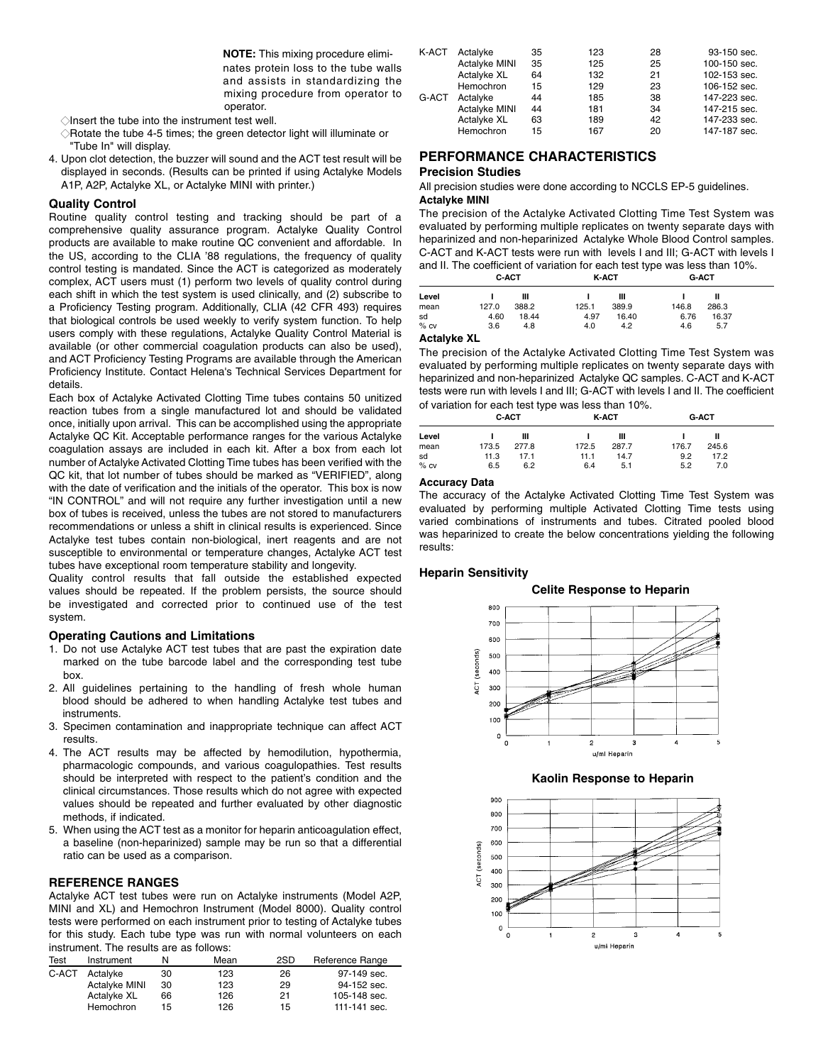**NOTE:** This mixing procedure eliminates protein loss to the tube walls and assists in standardizing the mixing procedure from operator to operator.

- $\Diamond$ Insert the tube into the instrument test well.
- $\Diamond$ Rotate the tube 4-5 times; the green detector light will illuminate or "Tube In" will display.
- 4. Upon clot detection, the buzzer will sound and the ACT test result will be displayed in seconds. (Results can be printed if using Actalyke Models A1P, A2P, Actalyke XL, or Actalyke MINI with printer.)

#### **Quality Control**

Routine quality control testing and tracking should be part of a comprehensive quality assurance program. Actalyke Quality Control products are available to make routine QC convenient and affordable. In the US, according to the CLIA '88 regulations, the frequency of quality control testing is mandated. Since the ACT is categorized as moderately complex, ACT users must (1) perform two levels of quality control during each shift in which the test system is used clinically, and (2) subscribe to a Proficiency Testing program. Additionally, CLIA (42 CFR 493) requires that biological controls be used weekly to verify system function. To help users comply with these regulations, Actalyke Quality Control Material is available (or other commercial coagulation products can also be used), and ACT Proficiency Testing Programs are available through the American Proficiency Institute. Contact Helena's Technical Services Department for details.

Each box of Actalyke Activated Clotting Time tubes contains 50 unitized reaction tubes from a single manufactured lot and should be validated once, initially upon arrival. This can be accomplished using the appropriate Actalyke QC Kit. Acceptable performance ranges for the various Actalyke coagulation assays are included in each kit. After a box from each lot number of Actalyke Activated Clotting Time tubes has been verified with the QC kit, that lot number of tubes should be marked as "VERIFIED", along with the date of verification and the initials of the operator. This box is now "IN CONTROL" and will not require any further investigation until a new box of tubes is received, unless the tubes are not stored to manufacturers recommendations or unless a shift in clinical results is experienced. Since Actalyke test tubes contain non-biological, inert reagents and are not susceptible to environmental or temperature changes, Actalyke ACT test tubes have exceptional room temperature stability and longevity.

Quality control results that fall outside the established expected values should be repeated. If the problem persists, the source should be investigated and corrected prior to continued use of the test system.

# **Operating Cautions and Limitations**

- 1. Do not use Actalyke ACT test tubes that are past the expiration date marked on the tube barcode label and the corresponding test tube box.
- 2. All guidelines pertaining to the handling of fresh whole human blood should be adhered to when handling Actalyke test tubes and instruments.
- 3. Specimen contamination and inappropriate technique can affect ACT results.
- 4. The ACT results may be affected by hemodilution, hypothermia, pharmacologic compounds, and various coagulopathies. Test results should be interpreted with respect to the patient's condition and the clinical circumstances. Those results which do not agree with expected values should be repeated and further evaluated by other diagnostic methods, if indicated.
- 5. When using the ACT test as a monitor for heparin anticoagulation effect, a baseline (non-heparinized) sample may be run so that a differential ratio can be used as a comparison.

#### **REFERENCE RANGES**

Actalyke ACT test tubes were run on Actalyke instruments (Model A2P, MINI and XL) and Hemochron Instrument (Model 8000). Quality control tests were performed on each instrument prior to testing of Actalyke tubes for this study. Each tube type was run with normal volunteers on each instrument. The results are as follows:

| Test  | Instrument    |    | Mean | 2SD | Reference Range |
|-------|---------------|----|------|-----|-----------------|
| C-ACT | Actalvke      | 30 | 123  | 26  | 97-149 sec.     |
|       | Actalyke MINI | 30 | 123  | 29  | 94-152 sec.     |
|       | Actalyke XL   | 66 | 126  | 21  | 105-148 sec.    |
|       | Hemochron     | 15 | 126  | 15  | 111-141 sec.    |

| Actalyke      | 35 | 123 | 28 | 93-150 sec.  |
|---------------|----|-----|----|--------------|
| Actalyke MINI | 35 | 125 | 25 | 100-150 sec. |
| Actalyke XL   | 64 | 132 | 21 | 102-153 sec. |
| Hemochron     | 15 | 129 | 23 | 106-152 sec. |
| Actalyke      | 44 | 185 | 38 | 147-223 sec. |
| Actalyke MINI | 44 | 181 | 34 | 147-215 sec. |
| Actalyke XL   | 63 | 189 | 42 | 147-233 sec. |
| Hemochron     | 15 | 167 | 20 | 147-187 sec. |
|               |    |     |    |              |

# **PERFORMANCE CHARACTERISTICS**

#### **Precision Studies**

All precision studies were done according to NCCLS EP-5 guidelines. **Actalyke MINI**

The precision of the Actalyke Activated Clotting Time Test System was evaluated by performing multiple replicates on twenty separate days with heparinized and non-heparinized Actalyke Whole Blood Control samples. C-ACT and K-ACT tests were run with levels I and III; G-ACT with levels I and II. The coefficient of variation for each test type was less than 10%.

|                     | C-ACT |       |       | <b>K-ACT</b> |       | <b>G-ACT</b> |  |
|---------------------|-------|-------|-------|--------------|-------|--------------|--|
| Level               |       | Ш     |       | Ш            |       | Ш            |  |
| mean                | 127.0 | 388.2 | 125.1 | 389.9        | 146.8 | 286.3        |  |
| sd                  | 4.60  | 18.44 | 4.97  | 16.40        | 6.76  | 16.37        |  |
| $%$ CV              | 3.6   | 4.8   | 4.0   | 4.2          | 4.6   | 5.7          |  |
| $A - A - B - C - M$ |       |       |       |              |       |              |  |

#### **Actalyke XL**

The precision of the Actalyke Activated Clotting Time Test System was evaluated by performing multiple replicates on twenty separate days with heparinized and non-heparinized Actalyke QC samples. C-ACT and K-ACT tests were run with levels I and III; G-ACT with levels I and II. The coefficient of variation for each test type was less than 10%.

|        |       | C-ACT |       | <b>K-ACT</b> |       | G-ACT |  |
|--------|-------|-------|-------|--------------|-------|-------|--|
| Level  |       | Ш     |       | Ш            |       | Ш     |  |
| mean   | 173.5 | 277.8 | 172.5 | 287.7        | 176.7 | 245.6 |  |
| sd     | 11.3  | 17.1  | 11.1  | 14.7         | 9.2   | 17.2  |  |
| $%$ CV | 6.5   | 6.2   | 6.4   | 5.1          | 5.2   | 7.0   |  |

#### **Accuracy Data**

The accuracy of the Actalyke Activated Clotting Time Test System was evaluated by performing multiple Activated Clotting Time tests using varied combinations of instruments and tubes. Citrated pooled blood was heparinized to create the below concentrations yielding the following results:

#### **Heparin Sensitivity**



**Kaolin Response to Heparin**